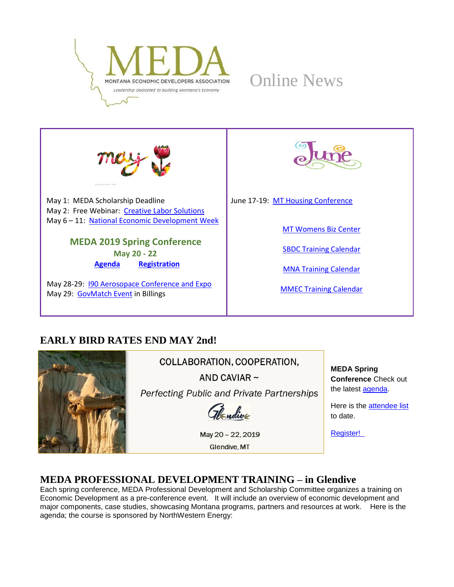





May 1: MEDA Scholarship Deadline May 2: Free Webinar: [Creative Labor Solutions](https://mtsbdc.ecenterdirect.com/events/4172) May 6 – 11: [National Economic Development Week](https://www.iedconline.org/web-pages/accritest/2019-economic-development-week/)

# **MEDA 2019 Spring Conference**

**May 20 - 22 [Agenda](http://www.medamembers.org/media/userfiles/subsite_48/files/MEDASpring2019Agenda.pdf) [Registration](https://app.mt.gov/cgi-bin/confreg2/index.cgi?CONFERENCE_ID=7485&ACTION=INTRO)**

May 28-29: **190 Aerosopace Conference and Expo** May 29: [GovMatch Event](https://matr.net/event/govmatch-2019-5-29-billings/) in Billings



June 17-19: [MT Housing Conference](https://housing.mt.gov/Conference)

[MT Womens Biz Center](https://www.prosperamt.org/calendar)

[SBDC Training Calendar](http://sbdc.mt.gov/trainings)

[MNA Training Calendar](http://www.mtnonprofit.org/17training/)

[MMEC Training Calendar](https://www.cvent.com/c/calendar/180314d2-3840-480c-9468-df6c286a789b)

# **EARLY BIRD RATES END MAY 2nd!**



COLLABORATION, COOPERATION,

AND CAVIAR  $\sim$ 

Perfecting Public and Private Partnerships

Thendive

May 20 - 22, 2019 **Glendive**, MT

**MEDA Spring Conference** Check out the latest [agenda.](http://www.medamembers.org/media/userfiles/subsite_48/files/MEDASpring2019Agenda.pdf)

Here is the [attendee list](http://www.medamembers.org/media/userfiles/subsite_48/files/AttendeesApril292019.pdf) to date.

[Register!](https://app.mt.gov/cgi-bin/confreg2/index.cgi?CONFERENCE_ID=7485&ACTION=INTRO) 

# **MEDA PROFESSIONAL DEVELOPMENT TRAINING – in Glendive**

Each spring conference, MEDA Professional Development and Scholarship Committee organizes a training on Economic Development as a pre-conference event. It will include an overview of economic development and major components, case studies, showcasing Montana programs, partners and resources at work. Here is the agenda; the course is sponsored by NorthWestern Energy: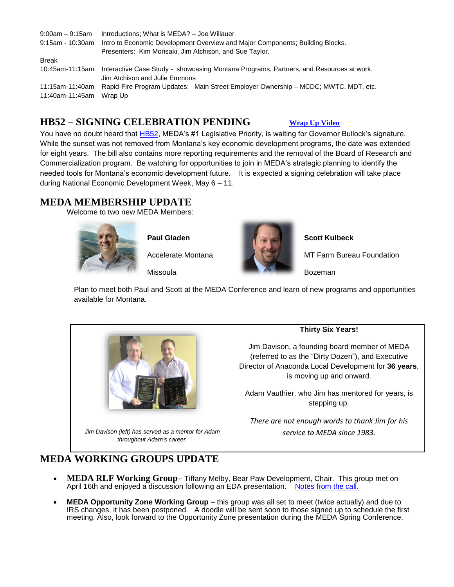| $9:00$ am $-9:15$ am               | Introductions; What is MEDA? - Joe Willauer                                                                             |
|------------------------------------|-------------------------------------------------------------------------------------------------------------------------|
| $9:15$ am - 10:30am                | Intro to Economic Development Overview and Major Components; Building Blocks.                                           |
|                                    | Presenters: Kim Morisaki, Jim Atchison, and Sue Taylor.                                                                 |
| <b>Break</b>                       |                                                                                                                         |
| 10:45am-11:15am                    | Interactive Case Study - showcasing Montana Programs, Partners, and Resources at work.<br>Jim Atchison and Julie Emmons |
| 11:15am-11:40am<br>11:40am-11:45am | Rapid-Fire Program Updates: Main Street Employer Ownership – MCDC; MWTC, MDT, etc.<br>Wrap Up                           |

## **HB52 – SIGNING CELEBRATION PENDING [Wrap Up Video](https://www.youtube.com/watch?v=9oKunuvGX5w&feature=youtu.be&fbclid=IwAR260SnW3C4-mR-_teMABw9NfNHcCkRTgZ4DyRBPeuWVWb0oFitHcIToFtY)**

You have no doubt heard that **HB52**, MEDA's #1 Legislative Priority, is waiting for Governor Bullock's signature. While the sunset was not removed from Montana's key economic development programs, the date was extended for eight years. The bill also contains more reporting requirements and the removal of the Board of Research and Commercialization program. Be watching for opportunities to join in MEDA's strategic planning to identify the needed tools for Montana's economic development future. It is expected a signing celebration will take place during National Economic Development Week, May 6 – 11.

## **MEDA MEMBERSHIP UPDATE**

Welcome to two new MEDA Members:



**Paul Gladen**

Accelerate Montana

Missoula



**Scott Kulbeck**

MT Farm Bureau Foundation

Bozeman

Plan to meet both Paul and Scott at the MEDA Conference and learn of new programs and opportunities available for Montana.



*Jim Davison (left) has served as a mentor for Adam throughout Adam's career.*

#### **Thirty Six Years!**

Jim Davison, a founding board member of MEDA (referred to as the "Dirty Dozen"), and Executive Director of Anaconda Local Development for **36 years**, is moving up and onward.

Adam Vauthier, who Jim has mentored for years, is stepping up.

*There are not enough words to thank Jim for his service to MEDA since 1983.* 

# **MEDA WORKING GROUPS UPDATE**

- **MEDA RLF Working Group–** Tiffany Melby, Bear Paw Development, Chair. This group met on April 16th and enjoyed a discussion following an EDA presentation. [Notes from the call.](http://www.medamembers.org/working-groups/revolving-loan-fund/?d=compactt-2018)
- **MEDA Opportunity Zone Working Group** this group was all set to meet (twice actually) and due to IRS changes, it has been postponed. A doodle will be sent soon to those signed up to schedule the first meeting. Also, look forward to the Opportunity Zone presentation during the MEDA Spring Conference.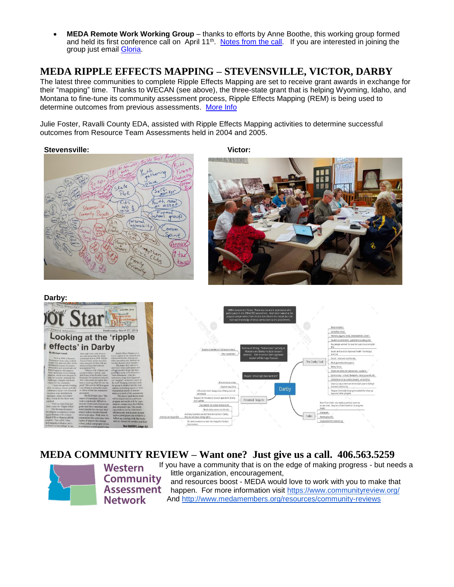• **MEDA Remote Work Working Group** – thanks to efforts by Anne Boothe, this working group formed and held its first conference call on April 11<sup>th</sup>. [Notes from the call.](http://www.medamembers.org/working-groups/revolving-loan-fund/p/item/7825/remote-worker-working-group) If you are interested in joining the group just email **Gloria**.

## **MEDA RIPPLE EFFECTS MAPPING – STEVENSVILLE, VICTOR, DARBY**

The latest three communities to complete Ripple Effects Mapping are set to receive grant awards in exchange for their "mapping" time. Thanks to WECAN (see above), the three-state grant that is helping Wyoming, Idaho, and Montana to fine-tune its community assessment process, Ripple Effects Mapping (REM) is being used to determine outcomes from previous assessments. [More Info](http://www.medamembers.org/resources/resource-team-assessments/?d=compact&sort=publishDate) 

Julie Foster, Ravalli County EDA, assisted with Ripple Effects Mapping activities to determine successful outcomes from Resource Team Assessments held in 2004 and 2005.

#### **Stevensville:** Victor:



March 11 March

**Darby:**



#### **MEDA COMMUNITY REVIEW – Want one? Just give us a call. 406.563.5259**



**Western Community Assessment Network** 

If you have a community that is on the edge of making progress - but needs a little organization, encouragement, and resources boost - MEDA would love to work with you to make that happen. For more information visit <https://www.communityreview.org/> And <http://www.medamembers.org/resources/community-reviews>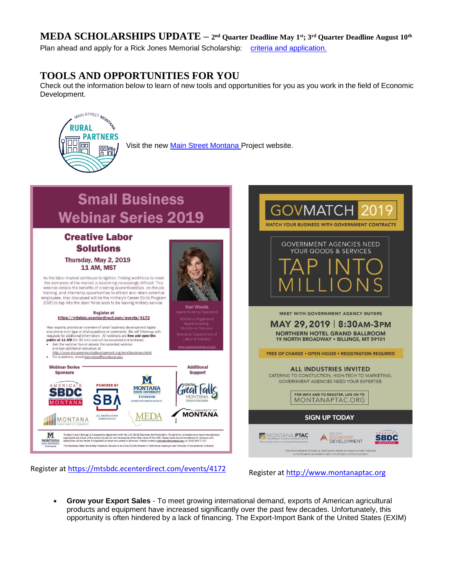## **MEDA SCHOLARSHIPS UPDATE – 2 nd Quarter Deadline May 1st; 3rd Quarter Deadline August 10th**

Plan ahead and apply for a Rick Jones Memorial Scholarship: [criteria and application.](http://www.medamembers.org/membership/scholarships) 

## **TOOLS AND OPPORTUNITIES FOR YOU**

Check out the information below to learn of new tools and opportunities for you as you work in the field of Economic Development.



Visit the new [Main Street Montana P](http://mainstreetmontanaproject.com/)roject website.

#### **Small Business Webinar Series 2019** MATCH YOUR RUSINESS WITH GOVERNMENT CONTRACTS **Creative Labor GOVERNMENT AGENCIES NEED Solutions** YOUR GOODS & SERVICES Thursday, May 2, 2019 11 AM, MST As the labor market continues to tighten, finding workforce to meet the demands of the market is becoming increasingly difficult. This webinar details the benefits of creating apprenticeships, on-the-job training, and internship opportunities to attract and retain potential employees. Also discussed will be the military's Career Skills Program (CSP) to tap into the labor force soon to be leaving military service. **Kari Woods** Register at MEET WITH GOVERNMENT AGENCY BUYERS https://mtsbdc.ecenterdirect.com/events/4172 MAY 29, 2019 | 8:30 AM-3PM Hear experts provide an overview of small business development topics and phone in or type or chat questions or comments. We will follow-up with requests for additional information. All webinars are free and open the **NORTHERN HOTEL GRAND BALLROOM** 19 NORTH BROADWAY . BILLINGS, MT 59101 **Public at 11 AM** (for 30 min) and will be recorded and archived<br>
• Join the webinar live or access the recorded webinar<br>
and see additional resources at http://www.msucommunitydevelopment.org/smallbusiness.html **FREE OF CHARGE . OPEN HOUSE . REGISTRATION REQUIRED** For questions, email commdev@montana.edu **Additional Webinar Series ALL INDUSTRIES INVITED Sponsors Support** CATERING TO CONSTUCTION, HIGH-TECH TO MARKETING, M GOVERNMENT AGENCIES NEED YOUR EXPERTISE **POWERED BY** MERICATS **MONTANA** rat falls SBDC FOR INFO AND TO REGISTER, LOG ON TO EXTENSION MONTANAPTAC.ORG ONTANA l D' **MONTANA MEDA SIGN UP TODAY** MONTANA M nded in part through a Cooperative Agreement with the U.S. Small Business Administration. All op<br>ressed are those of the author(s) and do not neossashly reflect the views of the SBA. Reasonabil<br>abilities will be made if re MONTANA PTAC ition. All opinions, conclusions or recommend:<br>Reasonable accommodations for persons with<br>ndev@montana.edu or (406) 994-1750. **SBDC ECONOMIC**<br>DEVELOPMENT **MONTANA** The Montana State University Extension Service is an ADA/EO/AA/Veteran's Preference Employer and Provider of Educatio ENT TECHNICAL ASSISTANCE CENTER IS FUNDED IN PART THRO<br>RATIVE AGREEMENT WITH THE DEFENSE LOGISTICS AGENCY

Register at <https://mtsbdc.ecenterdirect.com/events/4172><br>Register at [http://www.montanaptac.org](http://www.montanaptac.org/)

• **Grow your Export Sales** - To meet growing international demand, exports of American agricultural products and equipment have increased significantly over the past few decades. Unfortunately, this opportunity is often hindered by a lack of financing. The Export-Import Bank of the United States (EXIM)